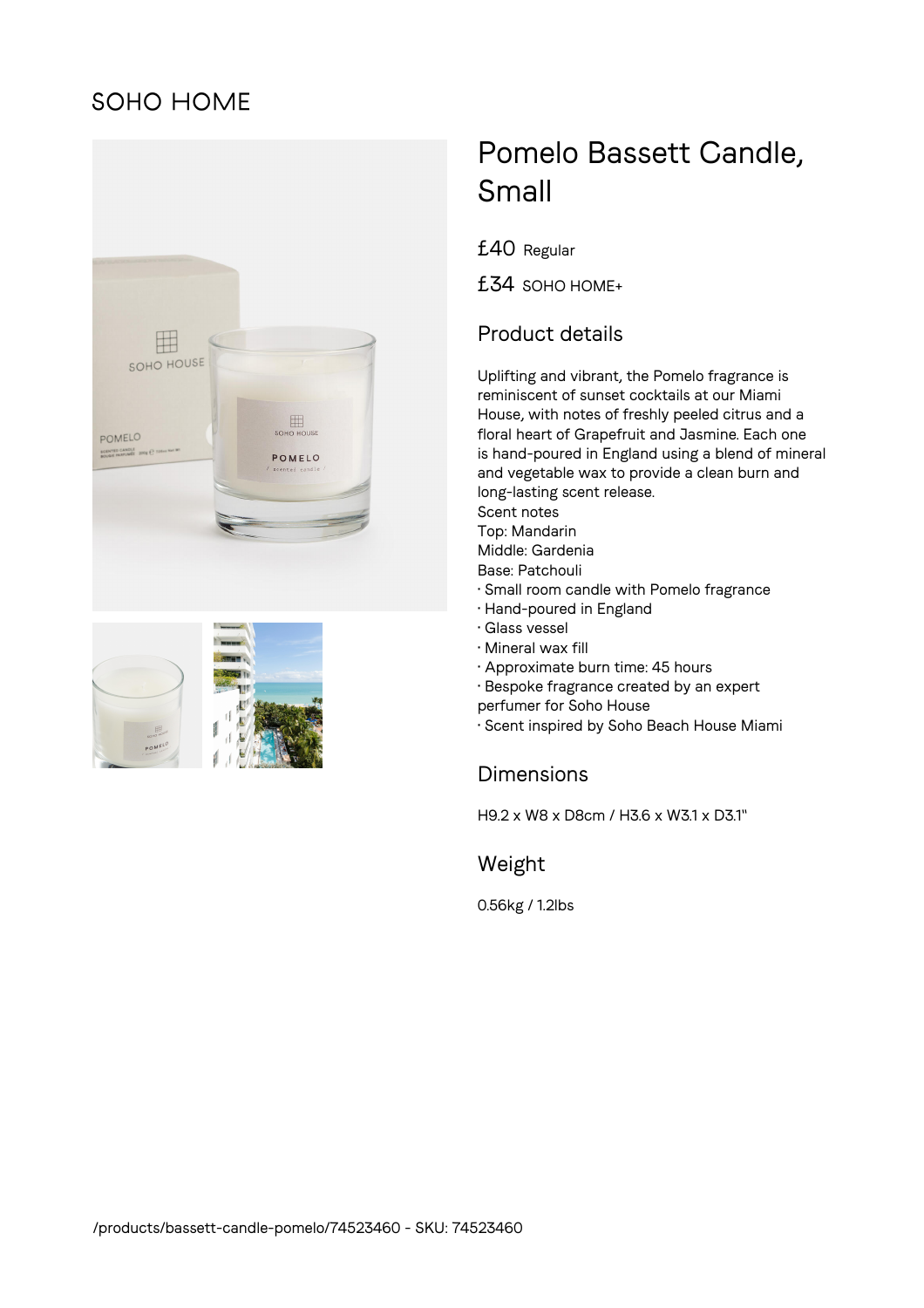# **SOHO HOME**





# Pomelo Bassett Candle, Small

£40 Regular

£34 SOHO HOME+

## Product details

Uplifting and vibrant, the Pomelo fragrance is reminiscent of sunset cocktails at our Miami House, with notes of freshly peeled citrus and a floral heart of Grapefruit and Jasmine. Each one is hand-poured in England using a blend of mineral and vegetable wax to provide a clean burn and long-lasting scent release. Scent notes

- 
- Top: Mandarin Middle: Gardenia
- Base: Patchouli
- Small room candle with Pomelo fragrance
- Hand-poured in England
- Glass vessel
- Mineral wax fill
- Approximate burn time: 45 hours
- Bespoke fragrance created by an expert
- perfumer for Soho House

• Scent inspired by Soho Beach House Miami

#### Dimensions

H9.2 x W8 x D8cm / H3.6 x W3.1 x D3.1"

#### Weight

0.56kg / 1.2lbs